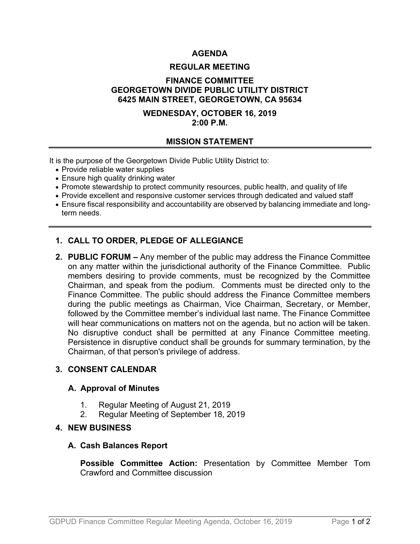# **AGENDA**

#### **REGULAR MEETING**

## **FINANCE COMMITTEE GEORGETOWN DIVIDE PUBLIC UTILITY DISTRICT 6425 MAIN STREET, GEORGETOWN, CA 95634**

## **WEDNESDAY, OCTOBER 16, 2019 2:00 P.M.**

#### **MISSION STATEMENT**

It is the purpose of the Georgetown Divide Public Utility District to:

- Provide reliable water supplies
- Ensure high quality drinking water
- Promote stewardship to protect community resources, public health, and quality of life
- Provide excellent and responsive customer services through dedicated and valued staff
- Ensure fiscal responsibility and accountability are observed by balancing immediate and longterm needs.

# **1. CALL TO ORDER, PLEDGE OF ALLEGIANCE**

**2. PUBLIC FORUM –** Any member of the public may address the Finance Committee on any matter within the jurisdictional authority of the Finance Committee. Public members desiring to provide comments, must be recognized by the Committee Chairman, and speak from the podium. Comments must be directed only to the Finance Committee. The public should address the Finance Committee members during the public meetings as Chairman, Vice Chairman, Secretary, or Member, followed by the Committee member's individual last name. The Finance Committee will hear communications on matters not on the agenda, but no action will be taken. No disruptive conduct shall be permitted at any Finance Committee meeting. Persistence in disruptive conduct shall be grounds for summary termination, by the Chairman, of that person's privilege of address.

## **3. CONSENT CALENDAR**

#### **A. Approval of Minutes**

- 1. Regular Meeting of August 21, 2019
- 2. Regular Meeting of September 18, 2019

### **4. NEW BUSINESS**

#### **A. Cash Balances Report**

**Possible Committee Action:** Presentation by Committee Member Tom Crawford and Committee discussion